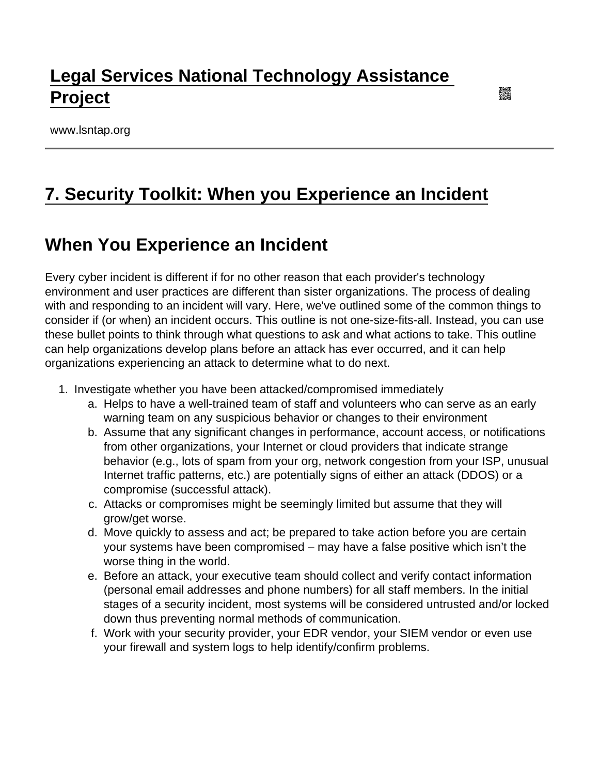# [Legal Services National Technology Assistance](https://www.lsntap.org/)  [Project](https://www.lsntap.org/)

www.lsntap.org

# [7. Security Toolkit: When you Experience an Incident](https://www.lsntap.org/node/386/7-security-toolkit-when-you-experience-incident)

### When You Experience an Incident

Every cyber incident is different if for no other reason that each provider's technology environment and user practices are different than sister organizations. The process of dealing with and responding to an incident will vary. Here, we've outlined some of the common things to consider if (or when) an incident occurs. This outline is not one-size-fits-all. Instead, you can use these bullet points to think through what questions to ask and what actions to take. This outline can help organizations develop plans before an attack has ever occurred, and it can help organizations experiencing an attack to determine what to do next.

- 1. Investigate whether you have been attacked/compromised immediately
	- a. Helps to have a well-trained team of staff and volunteers who can serve as an early warning team on any suspicious behavior or changes to their environment
	- b. Assume that any significant changes in performance, account access, or notifications from other organizations, your Internet or cloud providers that indicate strange behavior (e.g., lots of spam from your org, network congestion from your ISP, unusual Internet traffic patterns, etc.) are potentially signs of either an attack (DDOS) or a compromise (successful attack).
	- c. Attacks or compromises might be seemingly limited but assume that they will grow/get worse.
	- d. Move quickly to assess and act; be prepared to take action before you are certain your systems have been compromised – may have a false positive which isn't the worse thing in the world.
	- e. Before an attack, your executive team should collect and verify contact information (personal email addresses and phone numbers) for all staff members. In the initial stages of a security incident, most systems will be considered untrusted and/or locked down thus preventing normal methods of communication.
	- f. Work with your security provider, your EDR vendor, your SIEM vendor or even use your firewall and system logs to help identify/confirm problems.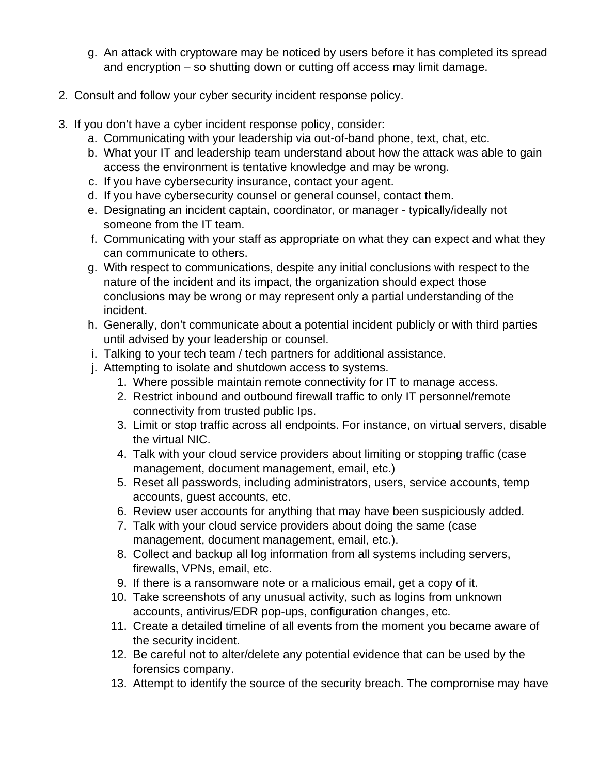- g. An attack with cryptoware may be noticed by users before it has completed its spread and encryption – so shutting down or cutting off access may limit damage.
- 2. Consult and follow your cyber security incident response policy.
- 3. If you don't have a cyber incident response policy, consider:
	- a. Communicating with your leadership via out-of-band phone, text, chat, etc.
	- b. What your IT and leadership team understand about how the attack was able to gain access the environment is tentative knowledge and may be wrong.
	- c. If you have cybersecurity insurance, contact your agent.
	- d. If you have cybersecurity counsel or general counsel, contact them.
	- e. Designating an incident captain, coordinator, or manager typically/ideally not someone from the IT team.
	- f. Communicating with your staff as appropriate on what they can expect and what they can communicate to others.
	- g. With respect to communications, despite any initial conclusions with respect to the nature of the incident and its impact, the organization should expect those conclusions may be wrong or may represent only a partial understanding of the incident.
	- h. Generally, don't communicate about a potential incident publicly or with third parties until advised by your leadership or counsel.
	- i. Talking to your tech team / tech partners for additional assistance.
	- j. Attempting to isolate and shutdown access to systems.
		- 1. Where possible maintain remote connectivity for IT to manage access.
		- 2. Restrict inbound and outbound firewall traffic to only IT personnel/remote connectivity from trusted public Ips.
		- 3. Limit or stop traffic across all endpoints. For instance, on virtual servers, disable the virtual NIC.
		- 4. Talk with your cloud service providers about limiting or stopping traffic (case management, document management, email, etc.)
		- 5. Reset all passwords, including administrators, users, service accounts, temp accounts, guest accounts, etc.
		- 6. Review user accounts for anything that may have been suspiciously added.
		- 7. Talk with your cloud service providers about doing the same (case management, document management, email, etc.).
		- 8. Collect and backup all log information from all systems including servers, firewalls, VPNs, email, etc.
		- 9. If there is a ransomware note or a malicious email, get a copy of it.
		- 10. Take screenshots of any unusual activity, such as logins from unknown accounts, antivirus/EDR pop-ups, configuration changes, etc.
		- 11. Create a detailed timeline of all events from the moment you became aware of the security incident.
		- 12. Be careful not to alter/delete any potential evidence that can be used by the forensics company.
		- 13. Attempt to identify the source of the security breach. The compromise may have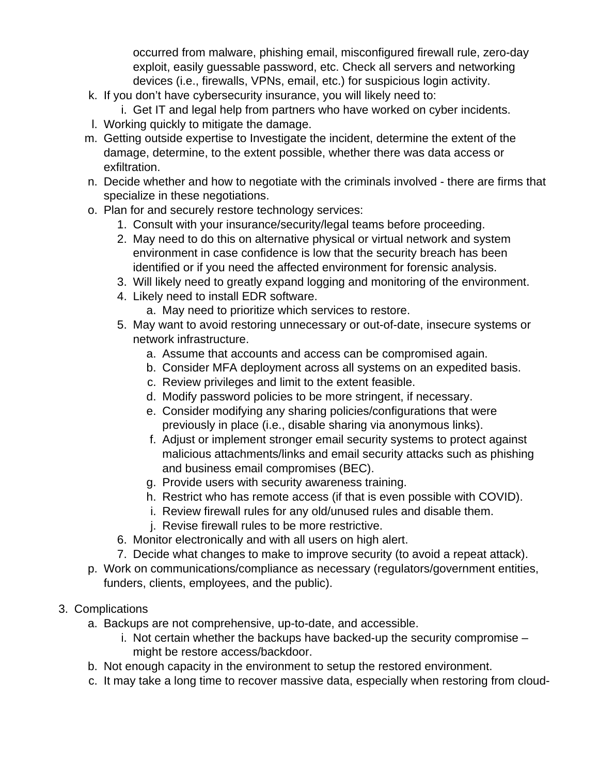occurred from malware, phishing email, misconfigured firewall rule, zero-day exploit, easily guessable password, etc. Check all servers and networking devices (i.e., firewalls, VPNs, email, etc.) for suspicious login activity.

- k. If you don't have cybersecurity insurance, you will likely need to:
- i. Get IT and legal help from partners who have worked on cyber incidents.
- l. Working quickly to mitigate the damage.
- m. Getting outside expertise to Investigate the incident, determine the extent of the damage, determine, to the extent possible, whether there was data access or exfiltration.
- n. Decide whether and how to negotiate with the criminals involved there are firms that specialize in these negotiations.
- o. Plan for and securely restore technology services:
	- 1. Consult with your insurance/security/legal teams before proceeding.
	- 2. May need to do this on alternative physical or virtual network and system environment in case confidence is low that the security breach has been identified or if you need the affected environment for forensic analysis.
	- 3. Will likely need to greatly expand logging and monitoring of the environment.
	- 4. Likely need to install EDR software.
		- a. May need to prioritize which services to restore.
	- 5. May want to avoid restoring unnecessary or out-of-date, insecure systems or network infrastructure.
		- a. Assume that accounts and access can be compromised again.
		- b. Consider MFA deployment across all systems on an expedited basis.
		- c. Review privileges and limit to the extent feasible.
		- d. Modify password policies to be more stringent, if necessary.
		- e. Consider modifying any sharing policies/configurations that were previously in place (i.e., disable sharing via anonymous links).
		- f. Adjust or implement stronger email security systems to protect against malicious attachments/links and email security attacks such as phishing and business email compromises (BEC).
		- g. Provide users with security awareness training.
		- h. Restrict who has remote access (if that is even possible with COVID).
		- i. Review firewall rules for any old/unused rules and disable them.
		- j. Revise firewall rules to be more restrictive.
	- 6. Monitor electronically and with all users on high alert.
	- 7. Decide what changes to make to improve security (to avoid a repeat attack).
- p. Work on communications/compliance as necessary (regulators/government entities, funders, clients, employees, and the public).
- 3. Complications
	- a. Backups are not comprehensive, up-to-date, and accessible.
		- i. Not certain whether the backups have backed-up the security compromise might be restore access/backdoor.
	- b. Not enough capacity in the environment to setup the restored environment.
	- c. It may take a long time to recover massive data, especially when restoring from cloud-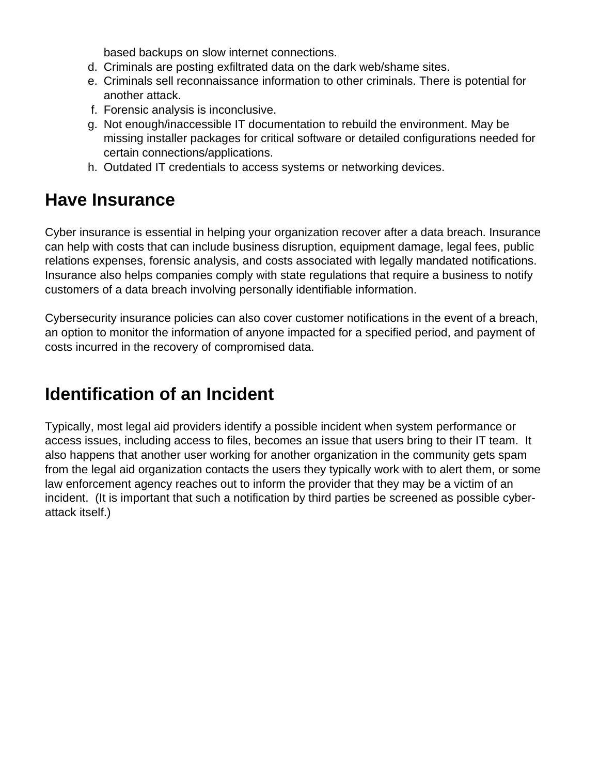based backups on slow internet connections.

- d. Criminals are posting exfiltrated data on the dark web/shame sites.
- e. Criminals sell reconnaissance information to other criminals. There is potential for another attack.
- f. Forensic analysis is inconclusive.
- g. Not enough/inaccessible IT documentation to rebuild the environment. May be missing installer packages for critical software or detailed configurations needed for certain connections/applications.
- h. Outdated IT credentials to access systems or networking devices.

#### **Have Insurance**

Cyber insurance is essential in helping your organization recover after a data breach. Insurance can help with costs that can include business disruption, equipment damage, legal fees, public relations expenses, forensic analysis, and costs associated with legally mandated notifications. Insurance also helps companies comply with state regulations that require a business to notify customers of a data breach involving personally identifiable information.

Cybersecurity insurance policies can also cover customer notifications in the event of a breach, an option to monitor the information of anyone impacted for a specified period, and payment of costs incurred in the recovery of compromised data.

## **Identification of an Incident**

Typically, most legal aid providers identify a possible incident when system performance or access issues, including access to files, becomes an issue that users bring to their IT team. It also happens that another user working for another organization in the community gets spam from the legal aid organization contacts the users they typically work with to alert them, or some law enforcement agency reaches out to inform the provider that they may be a victim of an incident. (It is important that such a notification by third parties be screened as possible cyberattack itself.)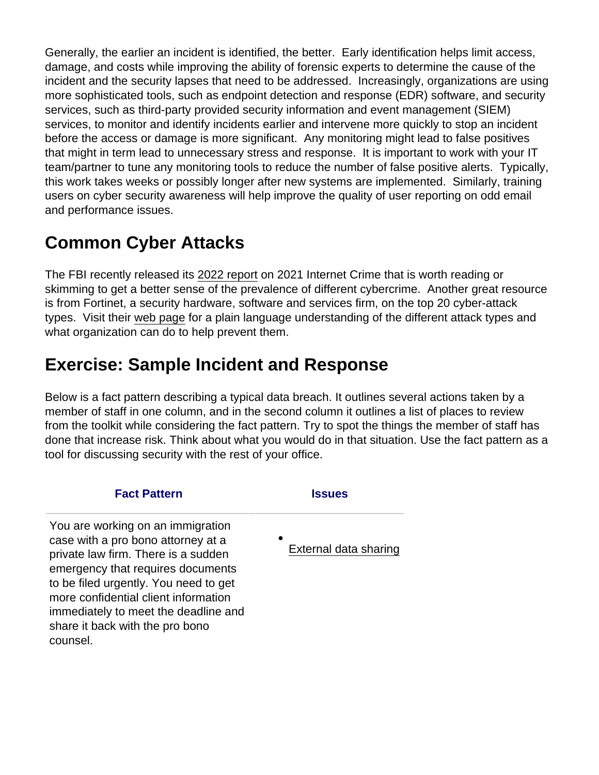Generally, the earlier an incident is identified, the better. Early identification helps limit access, damage, and costs while improving the ability of forensic experts to determine the cause of the incident and the security lapses that need to be addressed. Increasingly, organizations are using more sophisticated tools, such as endpoint detection and response (EDR) software, and security services, such as third-party provided security information and event management (SIEM) services, to monitor and identify incidents earlier and intervene more quickly to stop an incident before the access or damage is more significant. Any monitoring might lead to false positives that might in term lead to unnecessary stress and response. It is important to work with your IT team/partner to tune any monitoring tools to reduce the number of false positive alerts. Typically, this work takes weeks or possibly longer after new systems are implemented. Similarly, training users on cyber security awareness will help improve the quality of user reporting on odd email and performance issues.

# Common Cyber Attacks

The FBI recently released its [2022 report](https://www.ic3.gov/Media/PDF/AnnualReport/2021_IC3Report.pdf) on 2021 Internet Crime that is worth reading or skimming to get a better sense of the prevalence of different cybercrime. Another great resource is from Fortinet, a security hardware, software and services firm, on the top 20 cyber-attack types. Visit their [web page](https://www.fortinet.com/resources/cyberglossary/types-of-cyber-attacks) for a plain language understanding of the different attack types and what organization can do to help prevent them.

## Exercise: Sample Incident and Response

Below is a fact pattern describing a typical data breach. It outlines several actions taken by a member of staff in one column, and in the second column it outlines a list of places to review from the toolkit while considering the fact pattern. Try to spot the things the member of staff has done that increase risk. Think about what you would do in that situation. Use the fact pattern as a tool for discussing security with the rest of your office.

| <b>Fact Pattern</b>                                                                                                                                                                                                                                                                                                         | <b>Issues</b>              |
|-----------------------------------------------------------------------------------------------------------------------------------------------------------------------------------------------------------------------------------------------------------------------------------------------------------------------------|----------------------------|
| You are working on an immigration<br>case with a pro bono attorney at a<br>private law firm. There is a sudden<br>emergency that requires documents<br>to be filed urgently. You need to get<br>more confidential client information<br>immediately to meet the deadline and<br>share it back with the pro bono<br>counsel. | ٠<br>External data sharing |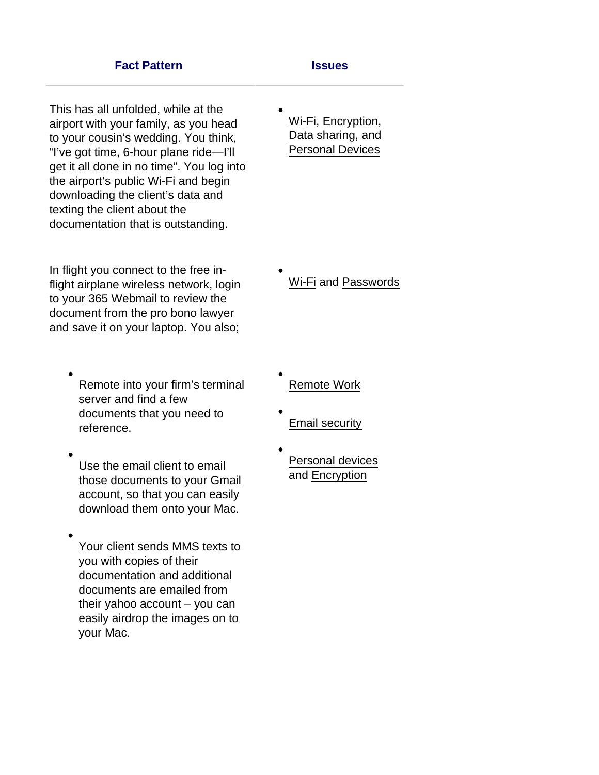#### **Fact Pattern Issues**

This has all unfolded, while at the airport with your family, as you head to your cousin's wedding. You think, "I've got time, 6-hour plane ride—I'll get it all done in no time". You log into the airport's public Wi-Fi and begin downloading the client's data and texting the client about the documentation that is outstanding.

In flight you connect to the free inflight airplane wireless network, login to your 365 Webmail to review the document from the pro bono lawyer and save it on your laptop. You also;

- Remote into your firm's terminal server and find a few documents that you need to reference.
- Use the email client to email those documents to your Gmail account, so that you can easily download them onto your Mac.
- Your client sends MMS texts to you with copies of their documentation and additional documents are emailed from their yahoo account – you can easily airdrop the images on to your Mac.

[Wi-Fi](https://www.lsntap.org/node/383/48-security-toolkit-other-tips-technology-setup), [Encryption,](https://www.lsntap.org/node/382/47-security-toolkit-encryption) [Data sharing](https://www.lsntap.org/node/380/45-security-toolkit-data-sharing), and [Personal Devices](https://www.lsntap.org/node/383/48-security-toolkit-other-tips-technology-setup)

[Wi-Fi](https://www.lsntap.org/node/383/48-security-toolkit-other-tips-technology-setup) and [Passwords](https://www.lsntap.org/node/381/46-security-toolkit-password-management)

- [Remote Work](https://www.lsntap.org/node/383/48-security-toolkit-other-tips-technology-setup)
- [Email security](https://www.lsntap.org/node/379/44-security-toolkit-email-security)
- [Personal devices](https://www.lsntap.org/node/383/48-security-toolkit-other-tips-technology-setup) and [Encryption](https://www.lsntap.org/node/382/47-security-toolkit-encryption)